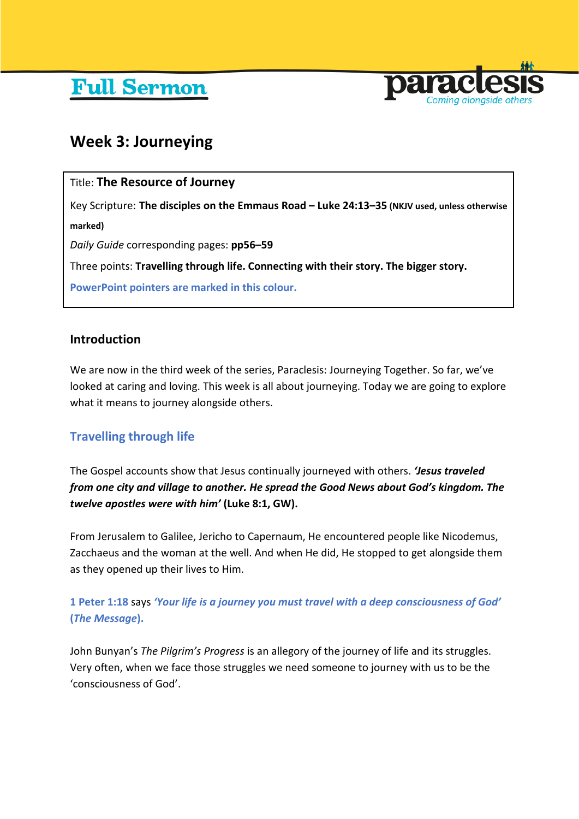# **Full Sermon**



## **Week 3: Journeying**

## Title: **The Resource of Journey**

Key Scripture: **The disciples on the Emmaus Road – Luke 24:13–35 (NKJV used, unless otherwise marked)**

*Daily Guide* corresponding pages: **pp56–59**

Three points: **Travelling through life. Connecting with their story. The bigger story.**

**PowerPoint pointers are marked in this colour.**

### **Introduction**

We are now in the third week of the series, Paraclesis: Journeying Together. So far, we've looked at caring and loving. This week is all about journeying. Today we are going to explore what it means to journey alongside others.

## **Travelling through life**

The Gospel accounts show that Jesus continually journeyed with others. *'Jesus traveled from one city and village to another. He spread the Good News about God's kingdom. The twelve apostles were with him'* **(Luke 8:1, GW).**

From Jerusalem to Galilee, Jericho to Capernaum, He encountered people like Nicodemus, Zacchaeus and the woman at the well. And when He did, He stopped to get alongside them as they opened up their lives to Him.

## **1 Peter 1:18** says *'Your life is a journey you must travel with a deep consciousness of God'*  **(***The Message***).**

John Bunyan's *The Pilgrim's Progress* is an allegory of the journey of life and its struggles. Very often, when we face those struggles we need someone to journey with us to be the 'consciousness of God'.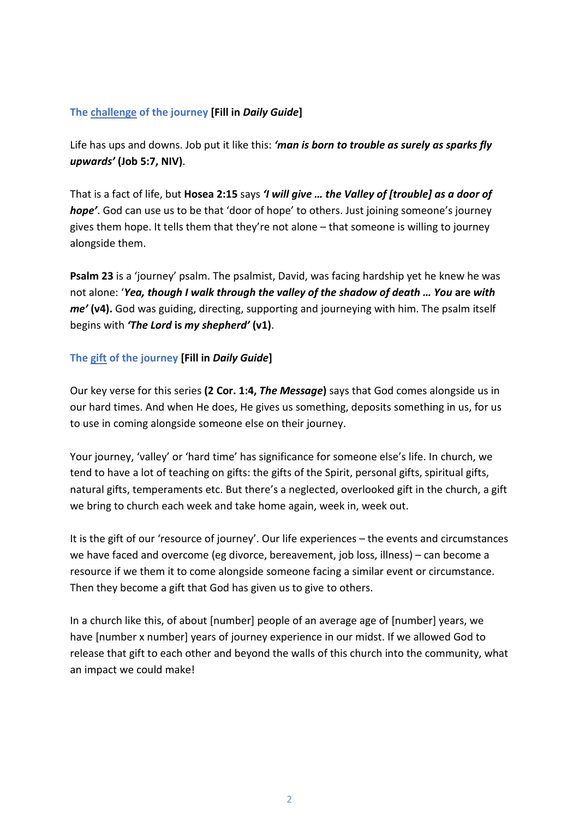#### **The challenge of the journey [Fill in** *Daily Guide***]**

Life has ups and downs. Job put it like this: *'man is born to trouble as surely as sparks fly upwards'* **(Job 5:7, NIV)**.

That is a fact of life, but **Hosea 2:15** says *'I will give … the Valley of [trouble] as a door of hope'*. God can use us to be that 'door of hope' to others. Just joining someone's journey gives them hope. It tells them that they're not alone – that someone is willing to journey alongside them.

**Psalm 23** is a 'journey' psalm. The psalmist, David, was facing hardship yet he knew he was not alone: '*Yea, though I walk through the valley of the shadow of death … You* **are** *with me'* **(v4).** God was guiding, directing, supporting and journeying with him. The psalm itself begins with *'The Lord* **is** *my shepherd'* **(v1)**.

#### **The gift of the journey [Fill in** *Daily Guide***]**

Our key verse for this series **(2 Cor. 1:4,** *The Message***)** says that God comes alongside us in our hard times. And when He does, He gives us something, deposits something in us, for us to use in coming alongside someone else on their journey.

Your journey, 'valley' or 'hard time' has significance for someone else's life. In church, we tend to have a lot of teaching on gifts: the gifts of the Spirit, personal gifts, spiritual gifts, natural gifts, temperaments etc. But there's a neglected, overlooked gift in the church, a gift we bring to church each week and take home again, week in, week out.

It is the gift of our 'resource of journey'. Our life experiences – the events and circumstances we have faced and overcome (eg divorce, bereavement, job loss, illness) – can become a resource if we them it to come alongside someone facing a similar event or circumstance. Then they become a gift that God has given us to give to others.

In a church like this, of about [number] people of an average age of [number] years, we have [number x number] years of journey experience in our midst. If we allowed God to release that gift to each other and beyond the walls of this church into the community, what an impact we could make!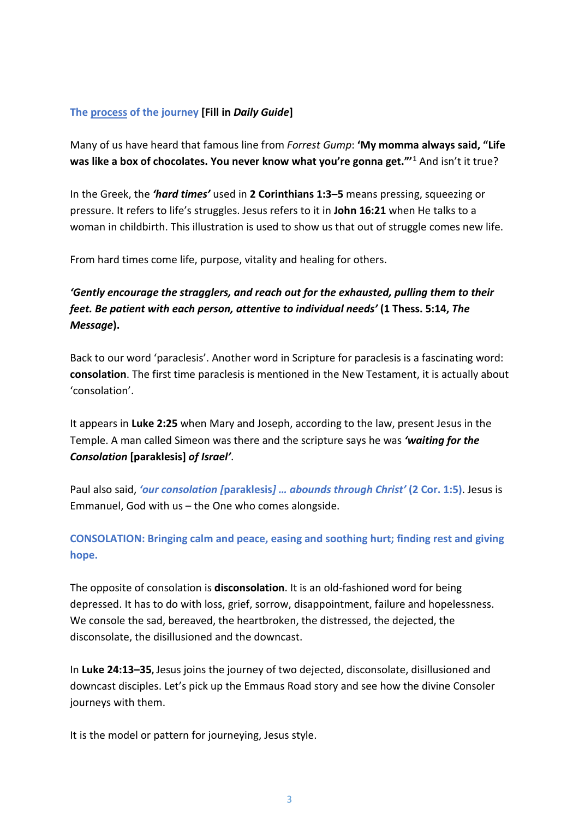#### **The process of the journey [Fill in** *Daily Guide***]**

Many of us have heard that famous line from *Forrest Gump*: **'My momma always said, "Life was like a box of chocolates. You never know what you're gonna get."'[1](#page-8-0)** And isn't it true?

In the Greek, the *'hard times'* used in **2 Corinthians 1:3–5** means pressing, squeezing or pressure. It refers to life's struggles. Jesus refers to it in **John 16:21** when He talks to a woman in childbirth. This illustration is used to show us that out of struggle comes new life.

From hard times come life, purpose, vitality and healing for others.

## *'Gently encourage the stragglers, and reach out for the exhausted, pulling them to their feet. Be patient with each person, attentive to individual needs'* **(1 Thess. 5:14,** *The Message***).**

Back to our word 'paraclesis'. Another word in Scripture for paraclesis is a fascinating word: **consolation**. The first time paraclesis is mentioned in the New Testament, it is actually about 'consolation'.

It appears in **Luke 2:25** when Mary and Joseph, according to the law, present Jesus in the Temple. A man called Simeon was there and the scripture says he was *'waiting for the Consolation* **[paraklesis]** *of Israel'*.

Paul also said, *'our consolation [***paraklesis***] … abounds through Christ'* **(2 Cor. 1:5)**. Jesus is Emmanuel, God with us – the One who comes alongside.

## **CONSOLATION: Bringing calm and peace, easing and soothing hurt; finding rest and giving hope.**

The opposite of consolation is **disconsolation**. It is an old-fashioned word for being depressed. It has to do with loss, grief, sorrow, disappointment, failure and hopelessness. We console the sad, bereaved, the heartbroken, the distressed, the dejected, the disconsolate, the disillusioned and the downcast.

In **Luke 24:13–35,** Jesus joins the journey of two dejected, disconsolate, disillusioned and downcast disciples. Let's pick up the Emmaus Road story and see how the divine Consoler journeys with them.

It is the model or pattern for journeying, Jesus style.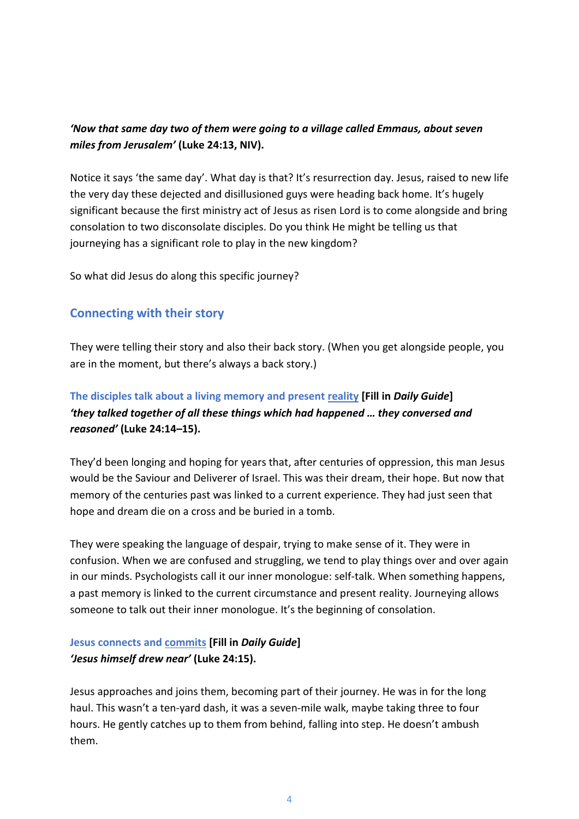## *'Now that same day two of them were going to a village called Emmaus, about seven miles from Jerusalem'* **(Luke 24:13, NIV).**

Notice it says 'the same day'. What day is that? It's resurrection day. Jesus, raised to new life the very day these dejected and disillusioned guys were heading back home. It's hugely significant because the first ministry act of Jesus as risen Lord is to come alongside and bring consolation to two disconsolate disciples. Do you think He might be telling us that journeying has a significant role to play in the new kingdom?

So what did Jesus do along this specific journey?

## **Connecting with their story**

They were telling their story and also their back story. (When you get alongside people, you are in the moment, but there's always a back story.)

## **The disciples talk about a living memory and present reality [Fill in** *Daily Guide***]** *'they talked together of all these things which had happened … they conversed and reasoned'* **(Luke 24:14–15).**

They'd been longing and hoping for years that, after centuries of oppression, this man Jesus would be the Saviour and Deliverer of Israel. This was their dream, their hope. But now that memory of the centuries past was linked to a current experience. They had just seen that hope and dream die on a cross and be buried in a tomb.

They were speaking the language of despair, trying to make sense of it. They were in confusion. When we are confused and struggling, we tend to play things over and over again in our minds. Psychologists call it our inner monologue: self-talk. When something happens, a past memory is linked to the current circumstance and present reality. Journeying allows someone to talk out their inner monologue. It's the beginning of consolation.

## **Jesus connects and commits [Fill in** *Daily Guide***]** *'Jesus himself drew near'* **(Luke 24:15).**

Jesus approaches and joins them, becoming part of their journey. He was in for the long haul. This wasn't a ten-yard dash, it was a seven-mile walk, maybe taking three to four hours. He gently catches up to them from behind, falling into step. He doesn't ambush them.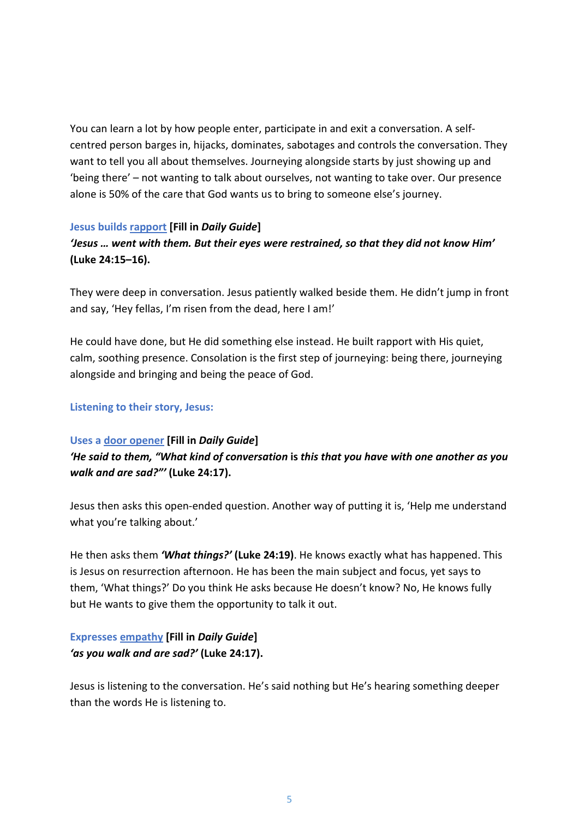You can learn a lot by how people enter, participate in and exit a conversation. A selfcentred person barges in, hijacks, dominates, sabotages and controls the conversation. They want to tell you all about themselves. Journeying alongside starts by just showing up and 'being there' – not wanting to talk about ourselves, not wanting to take over. Our presence alone is 50% of the care that God wants us to bring to someone else's journey.

#### **Jesus builds rapport [Fill in** *Daily Guide***]**

## *'Jesus … went with them. But their eyes were restrained, so that they did not know Him'* **(Luke 24:15–16).**

They were deep in conversation. Jesus patiently walked beside them. He didn't jump in front and say, 'Hey fellas, I'm risen from the dead, here I am!'

He could have done, but He did something else instead. He built rapport with His quiet, calm, soothing presence. Consolation is the first step of journeying: being there, journeying alongside and bringing and being the peace of God.

#### **Listening to their story, Jesus:**

#### **Uses a door opener [Fill in** *Daily Guide***]**

*'He said to them, "What kind of conversation* **is** *this that you have with one another as you walk and are sad?"'* **(Luke 24:17).**

Jesus then asks this open-ended question. Another way of putting it is, 'Help me understand what you're talking about.'

He then asks them *'What things?'* **(Luke 24:19)**. He knows exactly what has happened. This is Jesus on resurrection afternoon. He has been the main subject and focus, yet says to them, 'What things?' Do you think He asks because He doesn't know? No, He knows fully but He wants to give them the opportunity to talk it out.

### **Expresses empathy [Fill in** *Daily Guide***]** *'as you walk and are sad?'* **(Luke 24:17).**

Jesus is listening to the conversation. He's said nothing but He's hearing something deeper than the words He is listening to.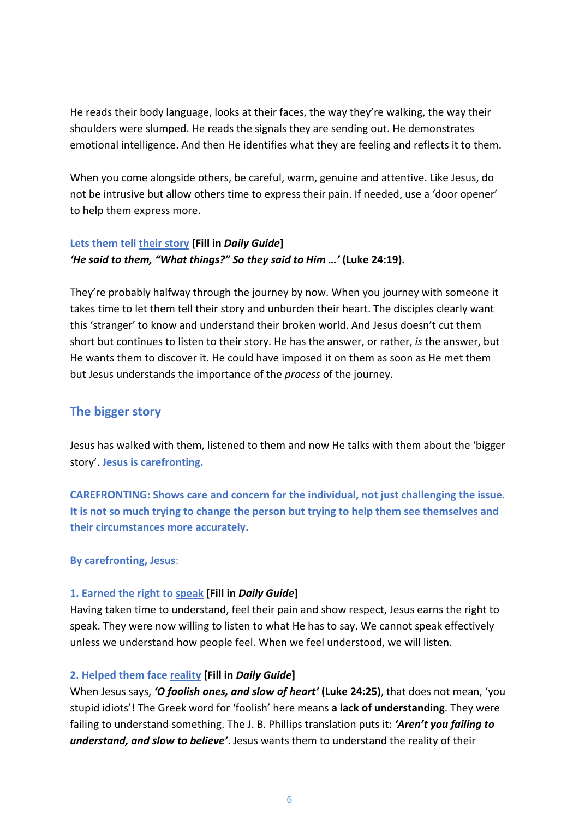He reads their body language, looks at their faces, the way they're walking, the way their shoulders were slumped. He reads the signals they are sending out. He demonstrates emotional intelligence. And then He identifies what they are feeling and reflects it to them.

When you come alongside others, be careful, warm, genuine and attentive. Like Jesus, do not be intrusive but allow others time to express their pain. If needed, use a 'door opener' to help them express more.

#### **Lets them tell their story [Fill in** *Daily Guide***]** *'He said to them, "What things?" So they said to Him …'* **(Luke 24:19).**

They're probably halfway through the journey by now. When you journey with someone it takes time to let them tell their story and unburden their heart. The disciples clearly want this 'stranger' to know and understand their broken world. And Jesus doesn't cut them short but continues to listen to their story. He has the answer, or rather, *is* the answer, but He wants them to discover it. He could have imposed it on them as soon as He met them but Jesus understands the importance of the *process* of the journey.

## **The bigger story**

Jesus has walked with them, listened to them and now He talks with them about the 'bigger story'. **Jesus is carefronting.**

**CAREFRONTING: Shows care and concern for the individual, not just challenging the issue. It is not so much trying to change the person but trying to help them see themselves and their circumstances more accurately.**

**By carefronting, Jesus**:

#### **1. Earned the right to speak [Fill in** *Daily Guide***]**

Having taken time to understand, feel their pain and show respect, Jesus earns the right to speak. They were now willing to listen to what He has to say. We cannot speak effectively unless we understand how people feel. When we feel understood, we will listen.

#### **2. Helped them face reality [Fill in** *Daily Guide***]**

When Jesus says, *'O foolish ones, and slow of heart'* **(Luke 24:25)**, that does not mean, 'you stupid idiots'! The Greek word for 'foolish' here means **a lack of understanding**. They were failing to understand something. The J. B. Phillips translation puts it: *'Aren't you failing to understand, and slow to believe'*. Jesus wants them to understand the reality of their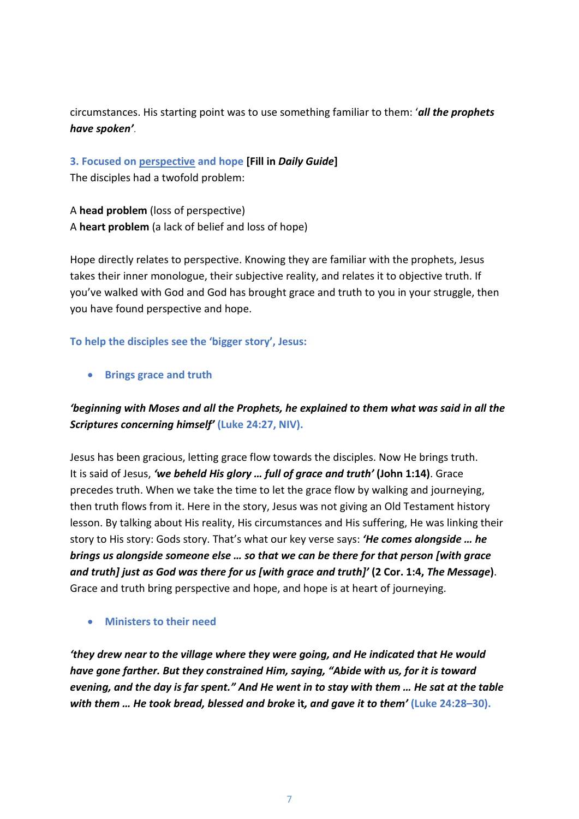circumstances. His starting point was to use something familiar to them: '*all the prophets have spoken'*.

**3. Focused on perspective and hope [Fill in** *Daily Guide***]** The disciples had a twofold problem:

A **head problem** (loss of perspective) A **heart problem** (a lack of belief and loss of hope)

Hope directly relates to perspective. Knowing they are familiar with the prophets, Jesus takes their inner monologue, their subjective reality, and relates it to objective truth. If you've walked with God and God has brought grace and truth to you in your struggle, then you have found perspective and hope.

#### **To help the disciples see the 'bigger story', Jesus:**

• **Brings grace and truth**

## *'beginning with Moses and all the Prophets, he explained to them what was said in all the Scriptures concerning himself'* **(Luke 24:27, NIV).**

Jesus has been gracious, letting grace flow towards the disciples. Now He brings truth. It is said of Jesus, *'we beheld His glory … full of grace and truth'* **(John 1:14)**. Grace precedes truth. When we take the time to let the grace flow by walking and journeying, then truth flows from it. Here in the story, Jesus was not giving an Old Testament history lesson. By talking about His reality, His circumstances and His suffering, He was linking their story to His story: Gods story. That's what our key verse says: *'He comes alongside … he brings us alongside someone else … so that we can be there for that person [with grace and truth] just as God was there for us [with grace and truth]'* **(2 Cor. 1:4,** *The Message***)**. Grace and truth bring perspective and hope, and hope is at heart of journeying.

#### • **Ministers to their need**

*'they drew near to the village where they were going, and He indicated that He would have gone farther. But they constrained Him, saying, "Abide with us, for it is toward evening, and the day is far spent." And He went in to stay with them … He sat at the table with them … He took bread, blessed and broke* **it***, and gave it to them'* **(Luke 24:28–30).**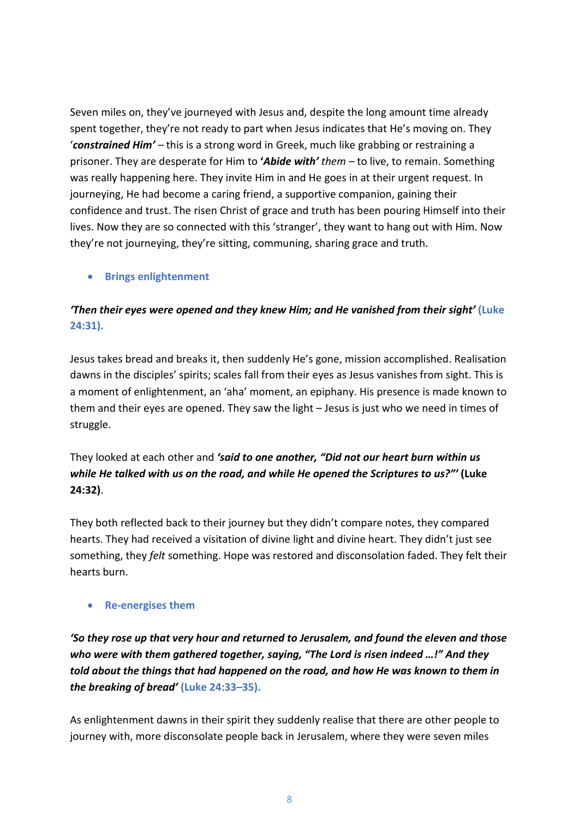Seven miles on, they've journeyed with Jesus and, despite the long amount time already spent together, they're not ready to part when Jesus indicates that He's moving on. They '*constrained Him' –* this is a strong word in Greek, much like grabbing or restraining a prisoner. They are desperate for Him to **'***Abide with' them –* to live, to remain. Something was really happening here. They invite Him in and He goes in at their urgent request. In journeying, He had become a caring friend, a supportive companion, gaining their confidence and trust. The risen Christ of grace and truth has been pouring Himself into their lives. Now they are so connected with this 'stranger', they want to hang out with Him. Now they're not journeying, they're sitting, communing, sharing grace and truth.

#### • **Brings enlightenment**

## *'Then their eyes were opened and they knew Him; and He vanished from their sight'* **(Luke 24:31).**

Jesus takes bread and breaks it, then suddenly He's gone, mission accomplished. Realisation dawns in the disciples' spirits; scales fall from their eyes as Jesus vanishes from sight. This is a moment of enlightenment, an 'aha' moment, an epiphany. His presence is made known to them and their eyes are opened. They saw the light – Jesus is just who we need in times of struggle.

They looked at each other and *'said to one another, "Did not our heart burn within us while He talked with us on the road, and while He opened the Scriptures to us?"'* **(Luke 24:32)**.

They both reflected back to their journey but they didn't compare notes, they compared hearts. They had received a visitation of divine light and divine heart. They didn't just see something, they *felt* something. Hope was restored and disconsolation faded. They felt their hearts burn.

#### • **Re-energises them**

*'So they rose up that very hour and returned to Jerusalem, and found the eleven and those who were with them gathered together, saying, "The Lord is risen indeed …!" And they told about the things that had happened on the road, and how He was known to them in the breaking of bread'* **(Luke 24:33–35).**

As enlightenment dawns in their spirit they suddenly realise that there are other people to journey with, more disconsolate people back in Jerusalem, where they were seven miles